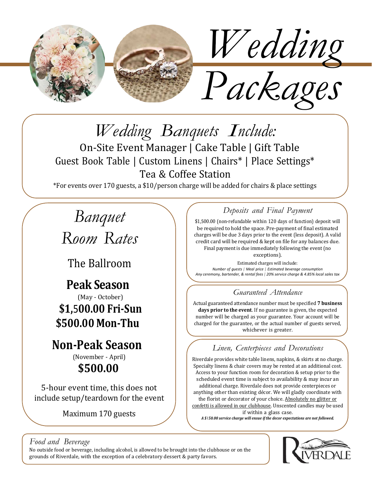

*Wedding Banquets Include:*

On-Site Event Manager | Cake Table | Gift Table Guest Book Table | Custom Linens | Chairs\* | Place Settings\* Tea & Coffee Station

\*For events over 170 guests, a \$10/person charge will be added for chairs & place settings

# *Banquet*

*Room Rates*

The Ballroom

## **Peak Season**

(May - October) **\$1,**5**00.00 Fri-Sun \$500.00 Mon-Thu**

## **Non-Peak Season**

(November - April) **\$500.00**

5-hour event time, this does not include setup/teardown for the event

Maximum 170 guests

#### *Deposits and Final Payment*

\$1,500.00 (non-refundable within 120 days of function) deposit will be required to hold the space. Pre-payment of final estimated charges will be due 3 days prior to the event (less deposit). A valid credit card will be required & kept on file for any balances due. Final payment is due immediately following the event (no

exceptions).

Estimated charges will include: *Number of guests | Meal price | Estimated beverage consumption Any ceremony, bartender, & rental fees | 20% service charge & 4.85% local sales tax*

#### *Guaranteed Attendance*

Actual guaranteed attendance number must be specified **7 business days prior to the event**. If no guarantee is given, the expected number will be charged as your guarantee. Your account will be charged for the guarantee, or the actual number of guests served, whichever is greater.

#### *Linen, Centerpieces and Decorations*

Riverdale provides white table linens, napkins, & skirts at no charge. Specialty linens & chair covers may be rented at an additional cost. Access to your function room for decoration & setup prior to the scheduled event time is subject to availability & may incur an additional charge. Riverdale does not provide centerpieces or anything other than existing décor. We will gladly coordinate with the florist or decorator of your choice. Absolutely no glitter or confetti is allowed in our clubhouse. Unscented candles may be used if within a glass case.

*A \$150.00 service charge will ensue if the decor expectations are not followed.*

#### *Food and Beverage*

No outside food or beverage, including alcohol, is allowed to be brought into the clubhouse or on the grounds of Riverdale, with the exception of a celebratory dessert & party favors.

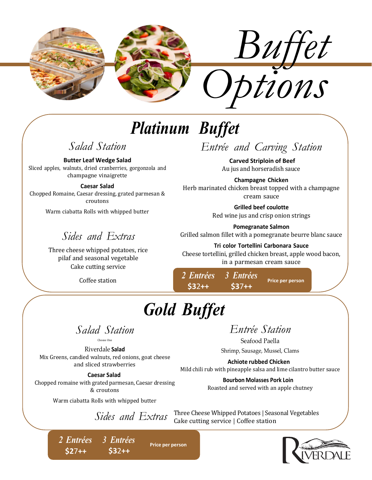

# *Platinum Buffet*

### *Salad Station*

**Butter Leaf Wedge Salad** Sliced apples, walnuts, dried cranberries, gorgonzola and

champagne vinaigrette

#### **Caesar Salad**

Chopped Romaine, Caesar dressing, grated parmesan & croutons

Warm ciabatta Rolls with whipped butter

### *Sides and Extras*

Three cheese whipped potatoes, rice pilaf and seasonal vegetable Cake cutting service

Coffee station *<sup>2</sup> Entrées*

## *Entrée and Carving Station*

**Carved Striploin of Beef** Au jus and horseradish sauce

**Champagne Chicken** Herb marinated chicken breast topped with a champagne cream sauce

> **Grilled beef coulotte** Red wine jus and crisp onion strings

**Pomegranate Salmon** Grilled salmon fillet with a pomegranate beurre blanc sauce

**Tri color Tortellini Carbonara Sauce** Cheese tortellini, grilled chicken breast, apple wood bacon, in a parmesan cream sauce

**Price per person**

*3 Entrées* **\$3**7**++**

*Gold Buffet*

**Price per person**

**\$3**2**++**

*Salad Station* Choose One

Riverdale **Salad** Mix Greens, candied walnuts, red onions, goat cheese and sliced strawberries

**Caesar Salad**

Chopped romaine with grated parmesan, Caesar dressing & croutons

Warm ciabatta Rolls with whipped butter

*Sides and Extras*

## *Entrée Station*

Seafood Paella Shrimp, Sausage, Mussel, Clams

**Achiote rubbed Chicken** Mild chili rub with pineapple salsa and lime cilantro butter sauce

> **Bourbon Molasses Pork Loin** Roasted and served with an apple chutney

Three Cheese Whipped Potatoes | Seasonal Vegetables Cake cutting service | Coffee station

*2 Entrées 3 Entrées* **\$2**7**++ \$3**2**++**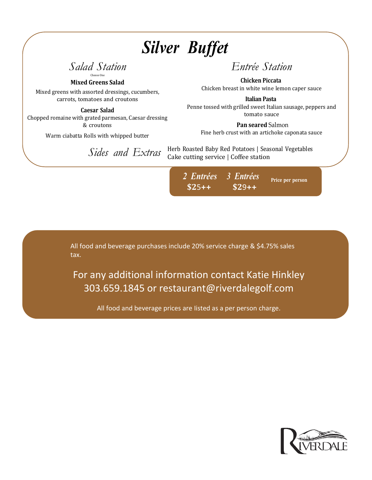# *Silver Buffet*

*Salad Station* Choose One

**Mixed Greens Salad**

Mixed greens with assorted dressings, cucumbers, carrots, tomatoes and croutons

**Caesar Salad** Chopped romaine with grated parmesan, Caesar dressing & croutons

Warm ciabatta Rolls with whipped butter

### *Entrée Station*

**Chicken Piccata** Chicken breast in white wine lemon caper sauce

**Italian Pasta** Penne tossed with grilled sweet Italian sausage, peppers and tomato sauce

**Pan seared** Salmon Fine herb crust with an artichoke caponata sauce

Herb Roasted Baby Red Potatoes | Seasonal Vegetables Cake cutting service | Coffee station *Sides and Extras*

> *2 Entrées* **\$2**5**++** *3 Entrées* **\$2**9**++ Price per person**

All food and beverage purchases include 20% service charge & \$4.75% sales tax.

For any additional information contact Katie Hinkley 303.659.1845 or [restaurant@riverdalegolf.com](mailto:restaurant@riverdalegolf.com)

All food and beverage prices are Iisted as a per person charge.